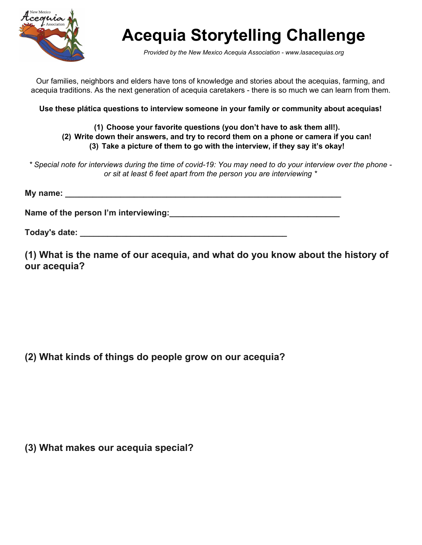

## **Acequia Storytelling Challenge**

*Provided by the New Mexico Acequia Association - www.lasacequias.org*

Our families, neighbors and elders have tons of knowledge and stories about the acequias, farming, and acequia traditions. As the next generation of acequia caretakers - there is so much we can learn from them.

**Use these plática questions to interview someone in your family or community about acequias!**

## **(1) Choose your favorite questions (you don't have to ask them all!). (2) Write down their answers, and try to record them on a phone or camera if you can! (3) Take a picture of them to go with the interview, if they say it's okay!**

\* Special note for interviews during the time of covid-19: You may need to do your interview over the phone *or sit at least 6 feet apart from the person you are interviewing \**

| My name:                             |  |
|--------------------------------------|--|
| Name of the person I'm interviewing: |  |

**Today's date: \_\_\_\_\_\_\_\_\_\_\_\_\_\_\_\_\_\_\_\_\_\_\_\_\_\_\_\_\_\_\_\_\_\_\_\_\_\_\_\_\_\_\_\_\_**

**(1) What is the name of our acequia, and what do you know about the history of our acequia?**

**(2) What kinds of things do people grow on our acequia?**

**(3) What makes our acequia special?**